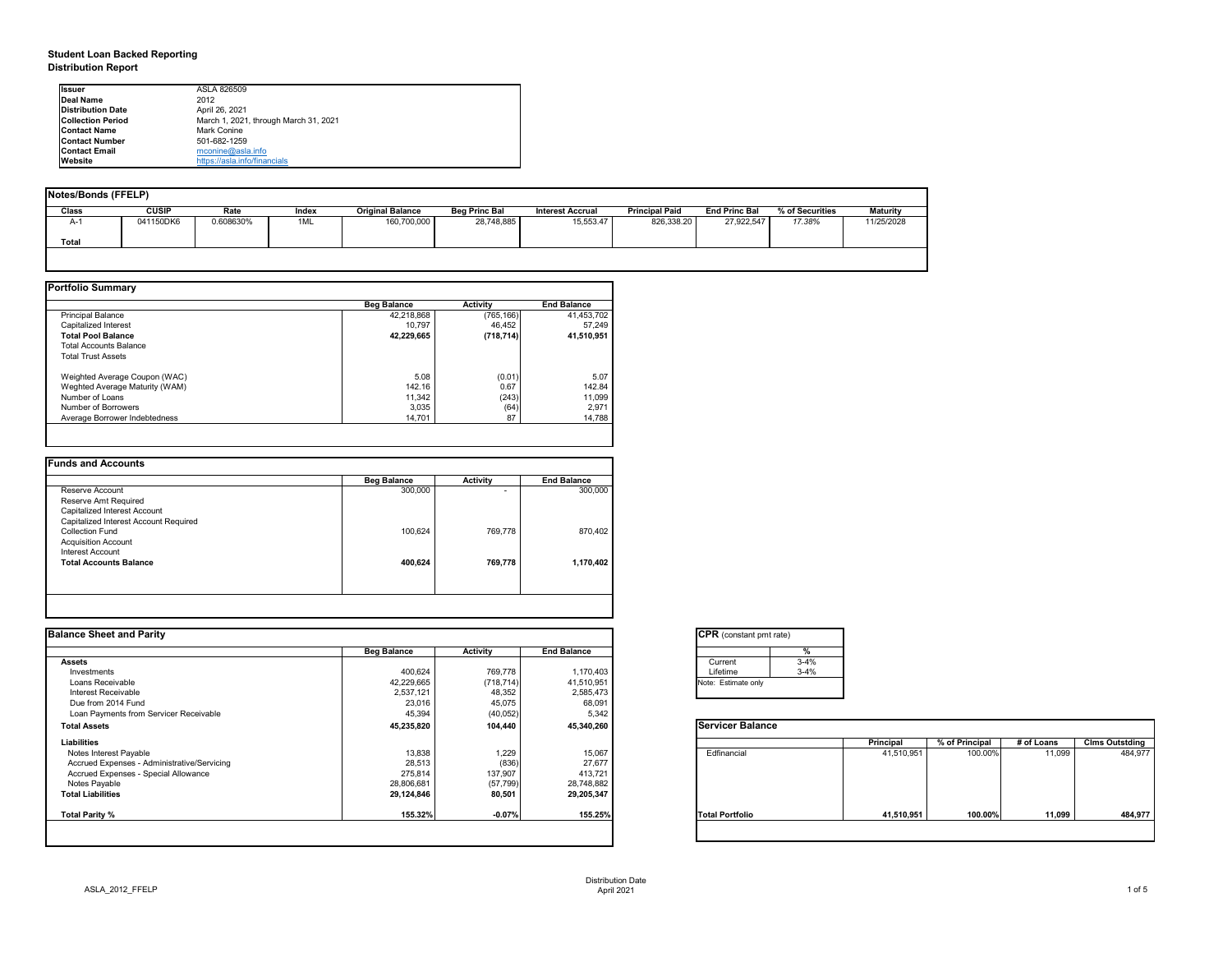## **Student Loan Backed Reporting Distribution Report**

| <b>Notes/Bonds (FFELP)</b> |              |           |       |                         |                      |                         |                       |                      |                 |                 |
|----------------------------|--------------|-----------|-------|-------------------------|----------------------|-------------------------|-----------------------|----------------------|-----------------|-----------------|
| <b>Class</b>               | <b>CUSIP</b> | Rate      | Index | <b>Original Balance</b> | <b>Beg Princ Bal</b> | <b>Interest Accrual</b> | <b>Principal Paid</b> | <b>End Princ Bal</b> | % of Securities | <b>Maturity</b> |
| A-1                        | 041150DK6    | 0.608630% | 1ML   | 160,700,000             | 28,748,885           | 15,553.47               | 826,338.20            | 27,922,547           | 17.38%          | 11/25/2028      |
| <b>Total</b>               |              |           |       |                         |                      |                         |                       |                      |                 |                 |
|                            |              |           |       |                         |                      |                         |                       |                      |                 |                 |

|                                | <b>Beg Balance</b> | <b>Activity</b> | <b>End Balance</b> |
|--------------------------------|--------------------|-----------------|--------------------|
| <b>Principal Balance</b>       | 42,218,868         | (765, 166)      | 41,453,702         |
| Capitalized Interest           | 10,797             | 46,452          | 57,249             |
| <b>Total Pool Balance</b>      | 42,229,665         | (718, 714)      | 41,510,951         |
| <b>Total Accounts Balance</b>  |                    |                 |                    |
| <b>Total Trust Assets</b>      |                    |                 |                    |
| Weighted Average Coupon (WAC)  | 5.08               | (0.01)          | 5.07               |
| Weghted Average Maturity (WAM) | 142.16             | 0.67            | 142.84             |
| Number of Loans                | 11,342             | (243)           | 11,099             |
| Number of Borrowers            | 3,035              | (64)            | 2,971              |
| Average Borrower Indebtedness  | 14,701             | 87              | 14,788             |

| <b>Beg Balance</b> | <b>Activity</b> | <b>End Balance</b> |
|--------------------|-----------------|--------------------|
| 300,000            | $\blacksquare$  | 300,000            |
|                    |                 |                    |
|                    |                 |                    |
|                    |                 |                    |
| 100,624            | 769,778         | 870,402            |
|                    |                 |                    |
|                    |                 |                    |
| 400,624            | 769,778         | 1,170,402          |
|                    |                 |                    |
|                    |                 |                    |

| <b>Ilssuer</b>            | ASLA 826509                           |
|---------------------------|---------------------------------------|
| Deal Name                 | 2012                                  |
| <b>Distribution Date</b>  | April 26, 2021                        |
| <b>ICollection Period</b> | March 1, 2021, through March 31, 2021 |
| <b>IContact Name</b>      | Mark Conine                           |
| <b>IContact Number</b>    | 501-682-1259                          |
| <b>IContact Email</b>     | $m$ conine@asla.info                  |
| <b>IWebsite</b>           | https://asla.info/financials          |

| <b>Balance Sheet and Parity</b>             |                    |                 |                    | <b>CPR</b> (constant pmt rate) |          |                  |                |            |                       |
|---------------------------------------------|--------------------|-----------------|--------------------|--------------------------------|----------|------------------|----------------|------------|-----------------------|
|                                             | <b>Beg Balance</b> | <b>Activity</b> | <b>End Balance</b> |                                |          |                  |                |            |                       |
| <b>Assets</b>                               |                    |                 |                    | Current                        | $3 - 4%$ |                  |                |            |                       |
| Investments                                 | 400,624            | 769,778         | 1,170,403          | Lifetime                       | $3 - 4%$ |                  |                |            |                       |
| Loans Receivable                            | 42,229,665         | (718, 714)      | 41,510,951         | Note: Estimate only            |          |                  |                |            |                       |
| Interest Receivable                         | 2,537,121          | 48,352          | 2,585,473          |                                |          |                  |                |            |                       |
| Due from 2014 Fund                          | 23,016             | 45,075          | 68,091             |                                |          |                  |                |            |                       |
| Loan Payments from Servicer Receivable      | 45,394             | (40, 052)       | 5,342              |                                |          |                  |                |            |                       |
| <b>Total Assets</b>                         | 45,235,820         | 104,440         | 45,340,260         | <b>Servicer Balance</b>        |          |                  |                |            |                       |
| <b>Liabilities</b>                          |                    |                 |                    |                                |          | <b>Principal</b> | % of Principal | # of Loans | <b>Clms Outstding</b> |
| Notes Interest Payable                      | 13,838             | 1,229           | 15,067             | Edfinancial                    |          | 41,510,951       | 100.00%        | 11,099     | 484,977               |
| Accrued Expenses - Administrative/Servicing | 28,513             | (836)           | 27,677             |                                |          |                  |                |            |                       |
| Accrued Expenses - Special Allowance        | 275,814            | 137,907         | 413,721            |                                |          |                  |                |            |                       |
| Notes Payable                               | 28,806,681         | (57, 799)       | 28,748,882         |                                |          |                  |                |            |                       |
| <b>Total Liabilities</b>                    | 29,124,846         | 80,501          | 29,205,347         |                                |          |                  |                |            |                       |
| <b>Total Parity %</b>                       | 155.32%            | $-0.07%$        | 155.25%            | <b>Total Portfolio</b>         |          | 41,510,951       | 100.00%        | 11,099     | 484,977               |
|                                             |                    |                 |                    |                                |          |                  |                |            |                       |

| tant pmt rate) |          |  |  |  |  |  |  |  |
|----------------|----------|--|--|--|--|--|--|--|
|                | $\%$     |  |  |  |  |  |  |  |
|                | $3 - 4%$ |  |  |  |  |  |  |  |
|                | $3-4%$   |  |  |  |  |  |  |  |
| te only        |          |  |  |  |  |  |  |  |
|                |          |  |  |  |  |  |  |  |

|      | Principal  | % of Principal | # of Loans | <b>Clms Outstding</b> |
|------|------------|----------------|------------|-----------------------|
| al   | 41,510,951 | 100.00%        | 11,099     | 484,977               |
| olio | 41,510,951 | 100.00%        | 11,099     | 484,977               |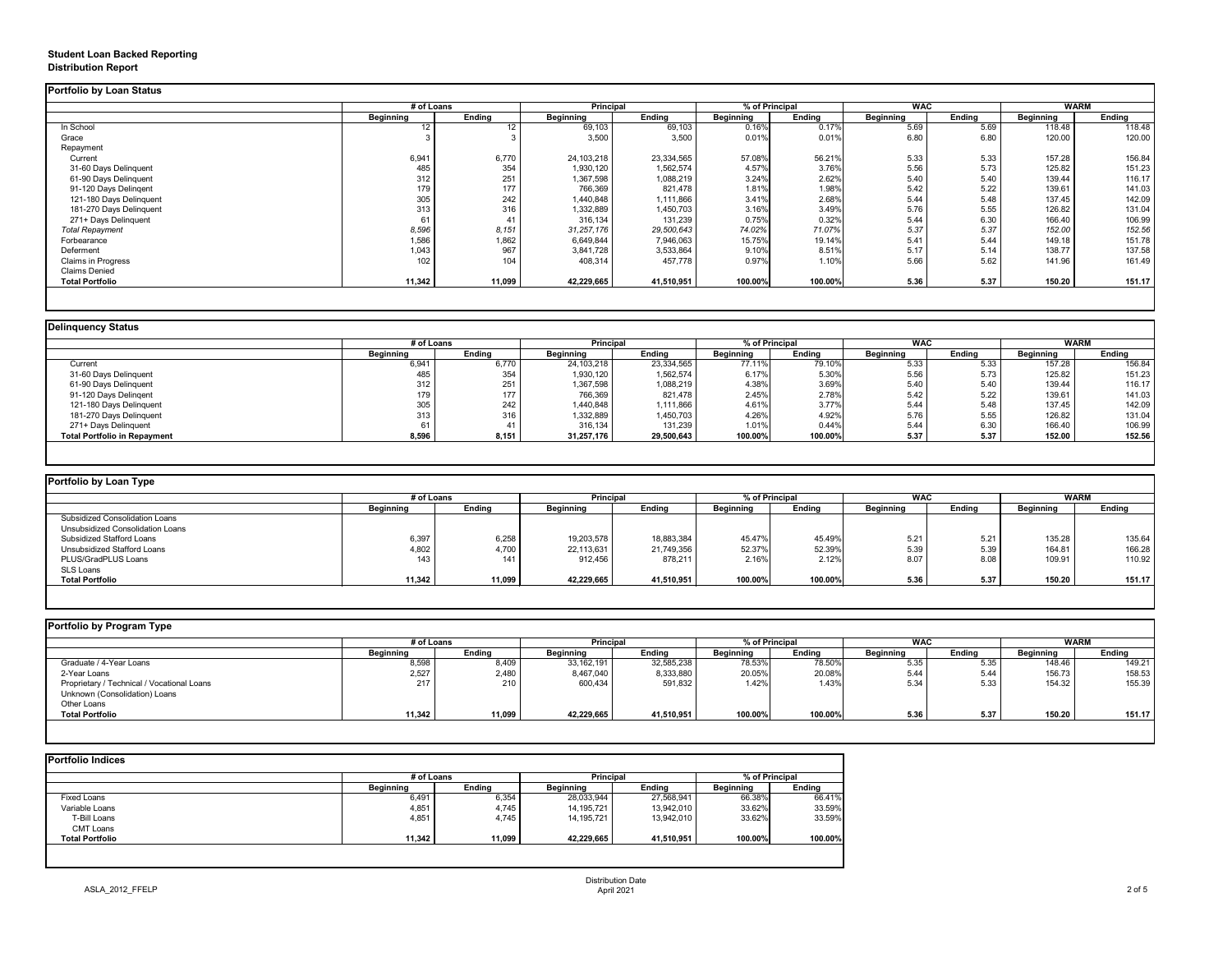## **Student Loan Backed Reporting Distribution Report**

## **Delinquency Status**

|                           | # of Loans       |                 | <b>Principal</b> |               | % of Principal   |               | <b>WAC</b>       |               | <b>WARM</b>      |               |
|---------------------------|------------------|-----------------|------------------|---------------|------------------|---------------|------------------|---------------|------------------|---------------|
|                           | <b>Beginning</b> | <b>Ending</b>   | <b>Beginning</b> | <b>Ending</b> | <b>Beginning</b> | <b>Ending</b> | <b>Beginning</b> | <b>Ending</b> | <b>Beginning</b> | <b>Ending</b> |
| In School                 | 12               | 12 <sup>°</sup> | 69,103           | 69,103        | 0.16%            | 0.17%         | 5.69             | 5.69          | 118.48           | 118.48        |
| Grace                     |                  |                 | 3,500            | 3,500         | 0.01%            | 0.01%         | 6.80             | 6.80          | 120.00           | 120.00        |
| Repayment                 |                  |                 |                  |               |                  |               |                  |               |                  |               |
| Current                   | 6,941            | 6,770           | 24,103,218       | 23,334,565    | 57.08%           | 56.21%        | 5.33             | 5.33          | 157.28           | 156.84        |
| 31-60 Days Delinquent     | 485              | 354             | 1,930,120        | 1,562,574     | 4.57%            | 3.76%         | 5.56             | 5.73          | 125.82           | 151.23        |
| 61-90 Days Delinquent     | 312              | 251             | 1,367,598        | 1,088,219     | 3.24%            | 2.62%         | 5.40             | 5.40          | 139.44           | 116.17        |
| 91-120 Days Delingent     | 179              | 177             | 766,369          | 821,478       | 1.81%            | 1.98%         | 5.42             | 5.22          | 139.61           | 141.03        |
| 121-180 Days Delinquent   | 305              | 242             | 1,440,848        | 1,111,866     | 3.41%            | 2.68%         | 5.44             | 5.48          | 137.45           | 142.09        |
| 181-270 Days Delinquent   | 313              | 316             | 1,332,889        | 1,450,703     | 3.16%            | 3.49%         | 5.76             | 5.55          | 126.82           | 131.04        |
| 271+ Days Delinquent      | 61               | 41              | 316,134          | 131,239       | 0.75%            | 0.32%         | 5.44             | 6.30          | 166.40           | 106.99        |
| <b>Total Repayment</b>    | 8,596            | 8,151           | 31,257,176       | 29,500,643    | 74.02%           | 71.07%        | 5.37             | 5.37          | 152.00           | 152.56        |
| Forbearance               | 1,586            | 1,862           | 6,649,844        | 7,946,063     | 15.75%           | 19.14%        | 5.41             | 5.44          | 149.18           | 151.78        |
| Deferment                 | 1,043            | 967             | 3,841,728        | 3,533,864     | 9.10%            | 8.51%         | 5.17             | 5.14          | 138.77           | 137.58        |
| <b>Claims in Progress</b> | 102              | 104             | 408,314          | 457,778       | 0.97%            | 1.10%         | 5.66             | 5.62          | 141.96           | 161.49        |
| <b>Claims Denied</b>      |                  |                 |                  |               |                  |               |                  |               |                  |               |
| <b>Total Portfolio</b>    | 11,342           | 11,099          | 42,229,665       | 41,510,951    | 100.00%          | 100.00%       | 5.36             | 5.37          | 150.20           | 151.17        |

|                                     |                  | # of Loans    |                  | <b>Principal</b> |                  | % of Principal |                  | <b>WAC</b>    |                  | <b>WARM</b>   |  |
|-------------------------------------|------------------|---------------|------------------|------------------|------------------|----------------|------------------|---------------|------------------|---------------|--|
|                                     | <b>Beginning</b> | <b>Ending</b> | <b>Beginning</b> | <b>Ending</b>    | <b>Beginning</b> | <b>Ending</b>  | <b>Beginning</b> | <b>Ending</b> | <b>Beginning</b> | <b>Ending</b> |  |
| Current                             | 6,941            | 6,770         | 24,103,218       | 23,334,565       | 77.11%           | 79.10%         | 5.33             | 5.33          | 157.28           | 156.84        |  |
| 31-60 Days Delinquent               | 485              | 354           | 1,930,120        | 1,562,574        | 6.17%            | 5.30%          | 5.56             | 5.73          | 125.82           | 151.23        |  |
| 61-90 Days Delinquent               | 312              | 251           | 1,367,598        | 1,088,219        | 4.38%            | 3.69%          | 5.40             | 5.40          | 139.44           | 116.17        |  |
| 91-120 Days Delinqent               | 179              | 177           | 766,369          | 821,478          | 2.45%            | 2.78%          | 5.42             | 5.22          | 139.61           | 141.03        |  |
| 121-180 Days Delinquent             | 305              | 242           | 1,440,848        | 1,111,866        | 4.61%            | 3.77%          | 5.44             | 5.48          | 137.45           | 142.09        |  |
| 181-270 Days Delinquent             | 313              | 316           | 1,332,889        | 1,450,703        | 4.26%            | 4.92%          | 5.76             | 5.55          | 126.82           | 131.04        |  |
| 271+ Days Delinquent                |                  |               | 316,134          | 131,239          | 1.01%            | 0.44%          | 5.44             | 6.30          | 166.40           | 106.99        |  |
| <b>Total Portfolio in Repayment</b> | 8,596            | 8,151         | 31,257,176       | 29,500,643       | 100.00%          | 100.00%        | 5.37             | 5.37          | 152.00           | 152.56        |  |

| <b>Portfolio by Loan Type</b>         |                  |               |                  |               |                  |               |                  |               |                  |               |
|---------------------------------------|------------------|---------------|------------------|---------------|------------------|---------------|------------------|---------------|------------------|---------------|
|                                       | # of Loans       |               | <b>Principal</b> |               | % of Principal   |               | <b>WAC</b>       |               | <b>WARM</b>      |               |
|                                       | <b>Beginning</b> | <b>Ending</b> | <b>Beginning</b> | <b>Ending</b> | <b>Beginning</b> | <b>Ending</b> | <b>Beginning</b> | <b>Ending</b> | <b>Beginning</b> | <b>Ending</b> |
| <b>Subsidized Consolidation Loans</b> |                  |               |                  |               |                  |               |                  |               |                  |               |
| Unsubsidized Consolidation Loans      |                  |               |                  |               |                  |               |                  |               |                  |               |
| <b>Subsidized Stafford Loans</b>      | 6,397            | 6,258         | 19,203,578       | 18,883,384    | 45.47%           | 45.49%        | 5.21             | 5.21          | 135.28           | 135.64        |
| <b>Unsubsidized Stafford Loans</b>    | 4,802            | 4,700         | 22,113,631       | 21,749,356    | 52.37%           | 52.39%        | 5.39             | 5.39          | 164.81           | 166.28        |
| PLUS/GradPLUS Loans                   | 143              | 141           | 912,456          | 878,211       | 2.16%            | 2.12%         | 8.07             | 8.08          | 109.91           | 110.92        |
| SLS Loans                             |                  |               |                  |               |                  |               |                  |               |                  |               |
| <b>Total Portfolio</b>                | 11,342           | 11,099        | 42,229,665       | 41,510,951    | 100.00%          | 100.00%       | 5.36             | 5.37          | 150.20           | 151.17        |

|  |  |  |  | Portfolio by Program Type |  |
|--|--|--|--|---------------------------|--|
|--|--|--|--|---------------------------|--|

| Portfolio by Program Type                  |                  |               |                  |                  |                  |                |                  |               |                  |               |  |
|--------------------------------------------|------------------|---------------|------------------|------------------|------------------|----------------|------------------|---------------|------------------|---------------|--|
|                                            |                  | # of Loans    |                  | <b>Principal</b> |                  | % of Principal |                  | <b>WAC</b>    |                  | <b>WARM</b>   |  |
|                                            | <b>Beginning</b> | <b>Ending</b> | <b>Beginning</b> | <b>Ending</b>    | <b>Beginning</b> | <b>Ending</b>  | <b>Beginning</b> | <b>Ending</b> | <b>Beginning</b> | <b>Ending</b> |  |
| Graduate / 4-Year Loans                    | 8,598            | 8,409         | 33,162,191       | 32,585,238       | 78.53%           | 78.50%         | 5.35             | 5.35          | 148.46           | 149.21        |  |
| 2-Year Loans                               | 2,527            | 2,480         | 8,467,040        | 8,333,880        | 20.05%           | 20.08%         | 5.44             | 5.44          | 156.73           | 158.53        |  |
| Proprietary / Technical / Vocational Loans | 217              | 210           | 600,434          | 591,832          | 1.42%            | 1.43%          | 5.34             | 5.33          | 154.32           | 155.39        |  |
| Unknown (Consolidation) Loans              |                  |               |                  |                  |                  |                |                  |               |                  |               |  |
| Other Loans                                |                  |               |                  |                  |                  |                |                  |               |                  |               |  |
| <b>Total Portfolio</b>                     | 11,342           | 11,099        | 42,229,665       | 41,510,951       | 100.00%          | 100.00%        | 5.36             | 5.37          | 150.20           | 151.17        |  |
|                                            |                  |               |                  |                  |                  |                |                  |               |                  |               |  |

|                        | # of Loans       |               | <b>Principal</b> |               | % of Principal   |               |
|------------------------|------------------|---------------|------------------|---------------|------------------|---------------|
|                        | <b>Beginning</b> | <b>Ending</b> | <b>Beginning</b> | <b>Ending</b> | <b>Beginning</b> | <b>Ending</b> |
| <b>Fixed Loans</b>     | 6,491            | 6,354         | 28,033,944       | 27,568,941    | 66.38%           | 66.41%        |
| Variable Loans         | 4,851            | 4,745         | 14, 195, 721     | 13,942,010    | 33.62%           | 33.59%        |
| T-Bill Loans           | 4,851            | 4,745         | 14,195,721       | 13,942,010    | 33.62%           | 33.59%        |
| <b>CMT Loans</b>       |                  |               |                  |               |                  |               |
| <b>Total Portfolio</b> | 11,342           | 11,099        | 42,229,665       | 41,510,951    | 100.00%          | 100.00%       |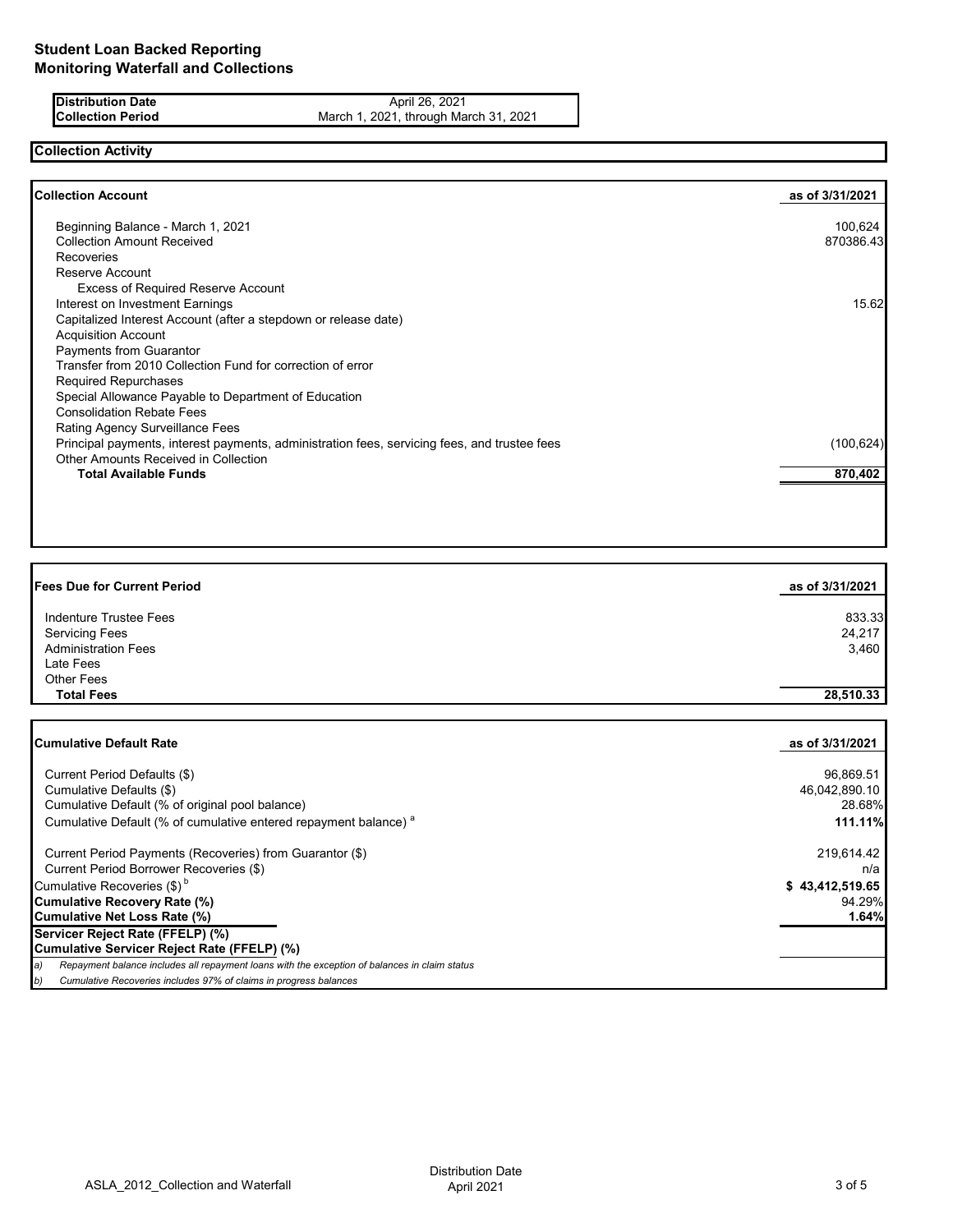**Distribution Date** April 26, 2021<br>**Collection Period** March 1, 2021, through Ma **Collection Period** March 1, 2021, through March 31, 2021

# **Collection Activity**

| <b>Collection Account</b>                                                                    | as of 3/31/2021 |
|----------------------------------------------------------------------------------------------|-----------------|
| Beginning Balance - March 1, 2021                                                            | 100,624         |
| <b>Collection Amount Received</b>                                                            | 870386.43       |
| <b>Recoveries</b>                                                                            |                 |
| Reserve Account                                                                              |                 |
| <b>Excess of Required Reserve Account</b>                                                    |                 |
| Interest on Investment Earnings                                                              | 15.62           |
| Capitalized Interest Account (after a stepdown or release date)                              |                 |
| <b>Acquisition Account</b>                                                                   |                 |
| <b>Payments from Guarantor</b>                                                               |                 |
| Transfer from 2010 Collection Fund for correction of error                                   |                 |
| <b>Required Repurchases</b>                                                                  |                 |
| Special Allowance Payable to Department of Education                                         |                 |
| <b>Consolidation Rebate Fees</b>                                                             |                 |
| Rating Agency Surveillance Fees                                                              |                 |
| Principal payments, interest payments, administration fees, servicing fees, and trustee fees | (100, 624)      |
| Other Amounts Received in Collection                                                         |                 |
| <b>Total Available Funds</b>                                                                 | 870,402         |

| <b>Fees Due for Current Period</b> | as of 3/31/2021 |
|------------------------------------|-----------------|
| Indenture Trustee Fees             | 833.33          |
| <b>Servicing Fees</b>              | 24,217          |
| <b>Administration Fees</b>         | 3,460           |
| Late Fees                          |                 |
| <b>Other Fees</b>                  |                 |
| <b>Total Fees</b>                  | 28,510.33       |
|                                    |                 |

| <b>Cumulative Default Rate</b>                                                                      | as of 3/31/2021 |
|-----------------------------------------------------------------------------------------------------|-----------------|
| Current Period Defaults (\$)                                                                        | 96,869.51       |
| Cumulative Defaults (\$)                                                                            | 46,042,890.10   |
| Cumulative Default (% of original pool balance)                                                     | 28.68%          |
| Cumulative Default (% of cumulative entered repayment balance) <sup>a</sup>                         | 111.11%         |
| Current Period Payments (Recoveries) from Guarantor (\$)                                            | 219,614.42      |
| Current Period Borrower Recoveries (\$)                                                             | n/a             |
| Cumulative Recoveries (\$) <sup>b</sup>                                                             | \$43,412,519.65 |
| <b>Cumulative Recovery Rate (%)</b>                                                                 | 94.29%          |
| <b>Cumulative Net Loss Rate (%)</b>                                                                 | 1.64%           |
| Servicer Reject Rate (FFELP) (%)                                                                    |                 |
| Cumulative Servicer Reject Rate (FFELP) (%)                                                         |                 |
| Repayment balance includes all repayment loans with the exception of balances in claim status<br>a) |                 |
| Cumulative Recoveries includes 97% of claims in progress balances<br>b)                             |                 |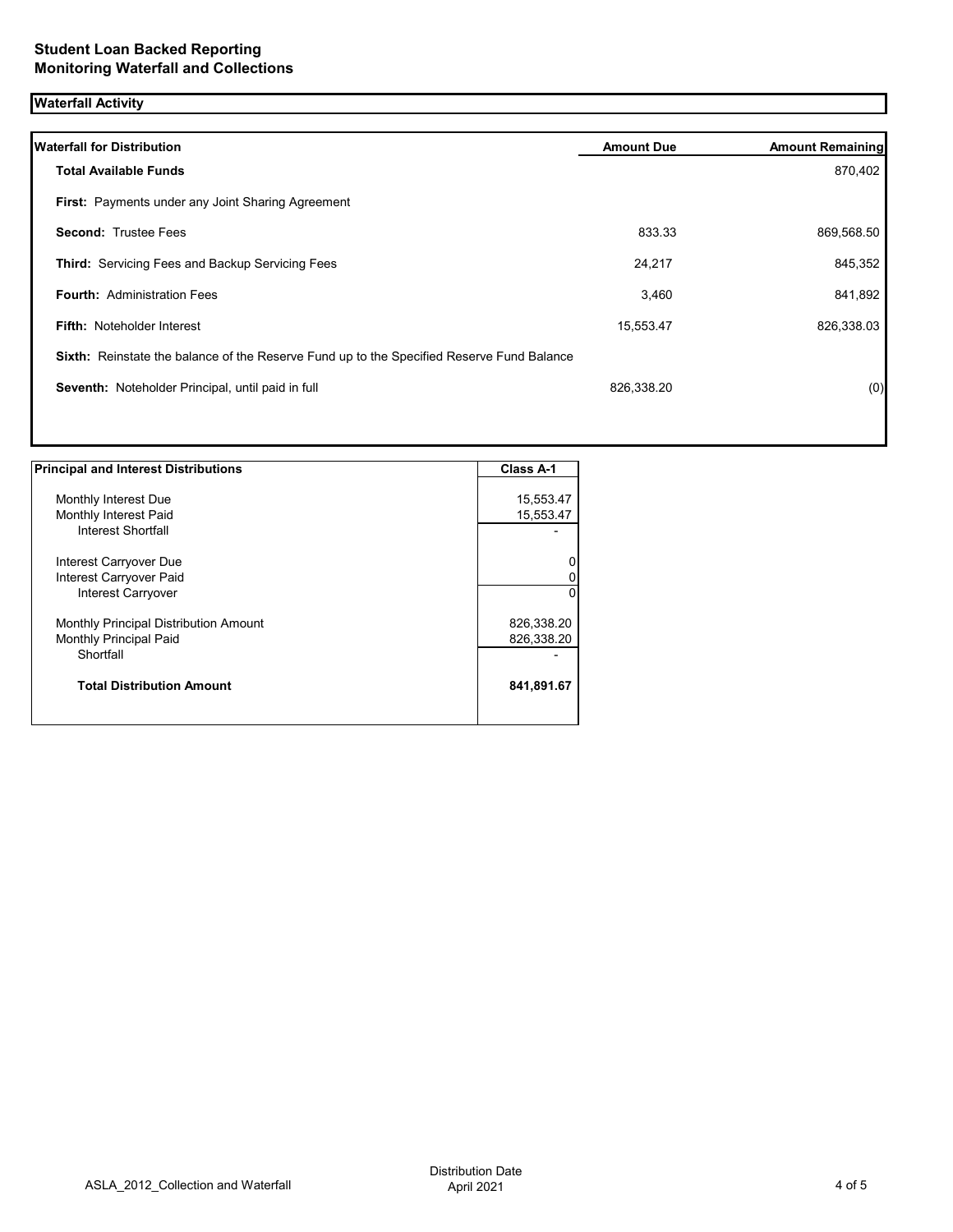# **Waterfall Activity**

| <b>Waterfall for Distribution</b>                                                         | <b>Amount Due</b> | <b>Amount Remaining</b> |
|-------------------------------------------------------------------------------------------|-------------------|-------------------------|
| <b>Total Available Funds</b>                                                              |                   | 870,402                 |
| First: Payments under any Joint Sharing Agreement                                         |                   |                         |
| <b>Second: Trustee Fees</b>                                                               | 833.33            | 869,568.50              |
| <b>Third: Servicing Fees and Backup Servicing Fees</b>                                    | 24,217            | 845,352                 |
| Fourth: Administration Fees                                                               | 3,460             | 841,892                 |
| <b>Fifth: Noteholder Interest</b>                                                         | 15,553.47         | 826,338.03              |
| Sixth: Reinstate the balance of the Reserve Fund up to the Specified Reserve Fund Balance |                   |                         |
| Seventh: Noteholder Principal, until paid in full                                         | 826,338.20        | (0)                     |
|                                                                                           |                   |                         |
|                                                                                           |                   |                         |

| <b>Principal and Interest Distributions</b>   | Class A-1              |
|-----------------------------------------------|------------------------|
|                                               |                        |
| Monthly Interest Due<br>Monthly Interest Paid | 15,553.47<br>15,553.47 |
| Interest Shortfall                            |                        |
| Interest Carryover Due                        | 0                      |
| Interest Carryover Paid                       | 0                      |
| Interest Carryover                            | $\Omega$               |
| Monthly Principal Distribution Amount         | 826,338.20             |
| Monthly Principal Paid                        | 826,338.20             |
| Shortfall                                     |                        |
| <b>Total Distribution Amount</b>              | 841,891.67             |
|                                               |                        |

1